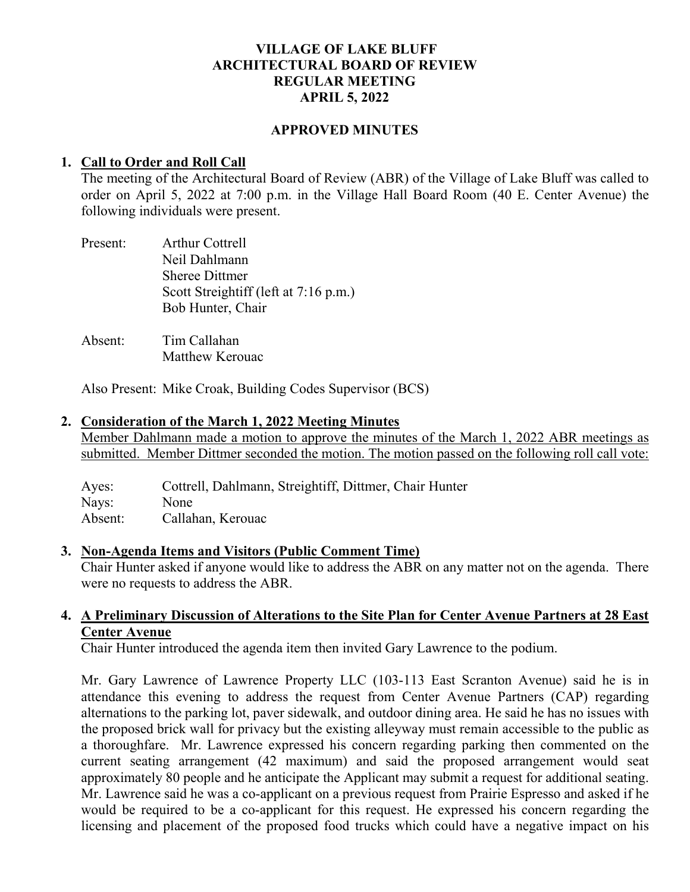## **VILLAGE OF LAKE BLUFF ARCHITECTURAL BOARD OF REVIEW REGULAR MEETING APRIL 5, 2022**

#### **APPROVED MINUTES**

#### **1. Call to Order and Roll Call**

The meeting of the Architectural Board of Review (ABR) of the Village of Lake Bluff was called to order on April 5, 2022 at 7:00 p.m. in the Village Hall Board Room (40 E. Center Avenue) the following individuals were present.

| Present: | <b>Arthur Cottrell</b>                |
|----------|---------------------------------------|
|          | Neil Dahlmann                         |
|          | <b>Sheree Dittmer</b>                 |
|          | Scott Streightiff (left at 7:16 p.m.) |
|          | Bob Hunter, Chair                     |
|          |                                       |

Absent: Tim Callahan Matthew Kerouac

Also Present: Mike Croak, Building Codes Supervisor (BCS)

### **2. Consideration of the March 1, 2022 Meeting Minutes**

Member Dahlmann made a motion to approve the minutes of the March 1, 2022 ABR meetings as submitted. Member Dittmer seconded the motion. The motion passed on the following roll call vote:

Ayes: Cottrell, Dahlmann, Streightiff, Dittmer, Chair Hunter Nays: None Absent: Callahan, Kerouac

#### **3. Non-Agenda Items and Visitors (Public Comment Time)**

Chair Hunter asked if anyone would like to address the ABR on any matter not on the agenda. There were no requests to address the ABR.

## **4. A Preliminary Discussion of Alterations to the Site Plan for Center Avenue Partners at 28 East Center Avenue**

Chair Hunter introduced the agenda item then invited Gary Lawrence to the podium.

Mr. Gary Lawrence of Lawrence Property LLC (103-113 East Scranton Avenue) said he is in attendance this evening to address the request from Center Avenue Partners (CAP) regarding alternations to the parking lot, paver sidewalk, and outdoor dining area. He said he has no issues with the proposed brick wall for privacy but the existing alleyway must remain accessible to the public as a thoroughfare. Mr. Lawrence expressed his concern regarding parking then commented on the current seating arrangement (42 maximum) and said the proposed arrangement would seat approximately 80 people and he anticipate the Applicant may submit a request for additional seating. Mr. Lawrence said he was a co-applicant on a previous request from Prairie Espresso and asked if he would be required to be a co-applicant for this request. He expressed his concern regarding the licensing and placement of the proposed food trucks which could have a negative impact on his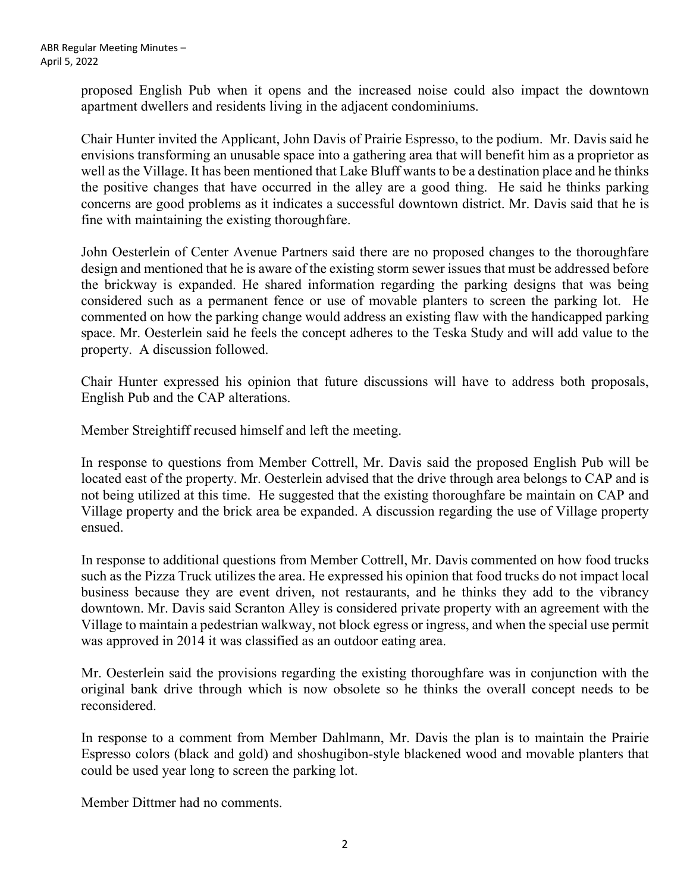proposed English Pub when it opens and the increased noise could also impact the downtown apartment dwellers and residents living in the adjacent condominiums.

Chair Hunter invited the Applicant, John Davis of Prairie Espresso, to the podium. Mr. Davis said he envisions transforming an unusable space into a gathering area that will benefit him as a proprietor as well as the Village. It has been mentioned that Lake Bluff wants to be a destination place and he thinks the positive changes that have occurred in the alley are a good thing. He said he thinks parking concerns are good problems as it indicates a successful downtown district. Mr. Davis said that he is fine with maintaining the existing thoroughfare.

John Oesterlein of Center Avenue Partners said there are no proposed changes to the thoroughfare design and mentioned that he is aware of the existing storm sewer issues that must be addressed before the brickway is expanded. He shared information regarding the parking designs that was being considered such as a permanent fence or use of movable planters to screen the parking lot. He commented on how the parking change would address an existing flaw with the handicapped parking space. Mr. Oesterlein said he feels the concept adheres to the Teska Study and will add value to the property. A discussion followed.

Chair Hunter expressed his opinion that future discussions will have to address both proposals, English Pub and the CAP alterations.

Member Streightiff recused himself and left the meeting.

In response to questions from Member Cottrell, Mr. Davis said the proposed English Pub will be located east of the property. Mr. Oesterlein advised that the drive through area belongs to CAP and is not being utilized at this time. He suggested that the existing thoroughfare be maintain on CAP and Village property and the brick area be expanded. A discussion regarding the use of Village property ensued.

In response to additional questions from Member Cottrell, Mr. Davis commented on how food trucks such as the Pizza Truck utilizes the area. He expressed his opinion that food trucks do not impact local business because they are event driven, not restaurants, and he thinks they add to the vibrancy downtown. Mr. Davis said Scranton Alley is considered private property with an agreement with the Village to maintain a pedestrian walkway, not block egress or ingress, and when the special use permit was approved in 2014 it was classified as an outdoor eating area.

Mr. Oesterlein said the provisions regarding the existing thoroughfare was in conjunction with the original bank drive through which is now obsolete so he thinks the overall concept needs to be reconsidered.

In response to a comment from Member Dahlmann, Mr. Davis the plan is to maintain the Prairie Espresso colors (black and gold) and shoshugibon-style blackened wood and movable planters that could be used year long to screen the parking lot.

Member Dittmer had no comments.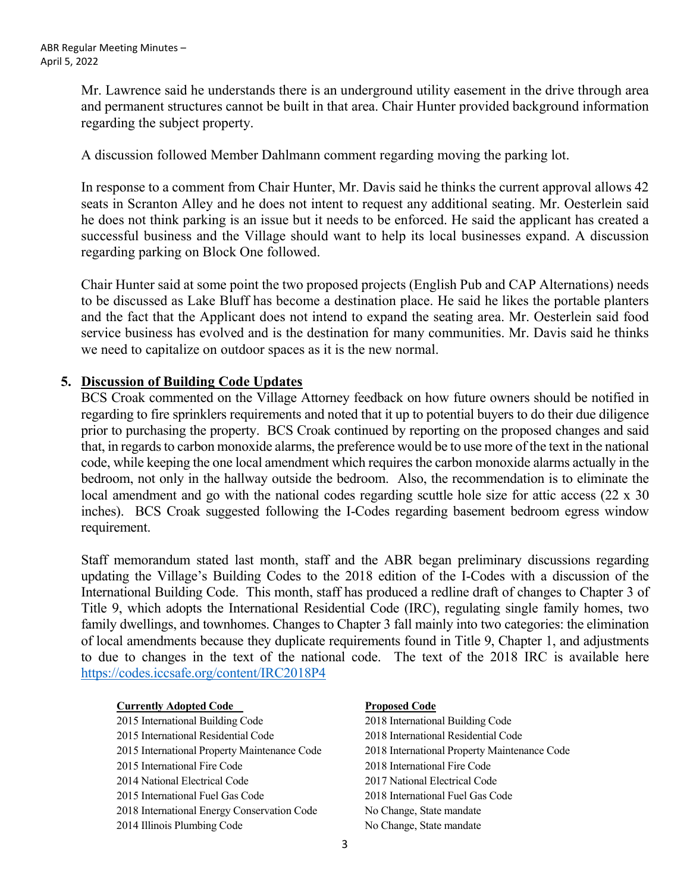Mr. Lawrence said he understands there is an underground utility easement in the drive through area and permanent structures cannot be built in that area. Chair Hunter provided background information regarding the subject property.

A discussion followed Member Dahlmann comment regarding moving the parking lot.

In response to a comment from Chair Hunter, Mr. Davis said he thinks the current approval allows 42 seats in Scranton Alley and he does not intent to request any additional seating. Mr. Oesterlein said he does not think parking is an issue but it needs to be enforced. He said the applicant has created a successful business and the Village should want to help its local businesses expand. A discussion regarding parking on Block One followed.

Chair Hunter said at some point the two proposed projects (English Pub and CAP Alternations) needs to be discussed as Lake Bluff has become a destination place. He said he likes the portable planters and the fact that the Applicant does not intend to expand the seating area. Mr. Oesterlein said food service business has evolved and is the destination for many communities. Mr. Davis said he thinks we need to capitalize on outdoor spaces as it is the new normal.

# **5. Discussion of Building Code Updates**

BCS Croak commented on the Village Attorney feedback on how future owners should be notified in regarding to fire sprinklers requirements and noted that it up to potential buyers to do their due diligence prior to purchasing the property. BCS Croak continued by reporting on the proposed changes and said that, in regards to carbon monoxide alarms, the preference would be to use more of the text in the national code, while keeping the one local amendment which requires the carbon monoxide alarms actually in the bedroom, not only in the hallway outside the bedroom. Also, the recommendation is to eliminate the local amendment and go with the national codes regarding scuttle hole size for attic access (22 x 30) inches). BCS Croak suggested following the I-Codes regarding basement bedroom egress window requirement.

Staff memorandum stated last month, staff and the ABR began preliminary discussions regarding updating the Village's Building Codes to the 2018 edition of the I-Codes with a discussion of the International Building Code. This month, staff has produced a redline draft of changes to Chapter 3 of Title 9, which adopts the International Residential Code (IRC), regulating single family homes, two family dwellings, and townhomes. Changes to Chapter 3 fall mainly into two categories: the elimination of local amendments because they duplicate requirements found in Title 9, Chapter 1, and adjustments to due to changes in the text of the national code. The text of the 2018 IRC is available here <https://codes.iccsafe.org/content/IRC2018P4>

| <b>Currently Adopted Code</b>                | <b>Proposed Code</b>                         |
|----------------------------------------------|----------------------------------------------|
| 2015 International Building Code             | 2018 International Building Code             |
| 2015 International Residential Code          | 2018 International Residential Code          |
| 2015 International Property Maintenance Code | 2018 International Property Maintenance Code |
| 2015 International Fire Code                 | 2018 International Fire Code                 |
| 2014 National Electrical Code                | 2017 National Electrical Code                |
| 2015 International Fuel Gas Code             | 2018 International Fuel Gas Code             |
| 2018 International Energy Conservation Code  | No Change, State mandate                     |
| 2014 Illinois Plumbing Code                  | No Change, State mandate                     |